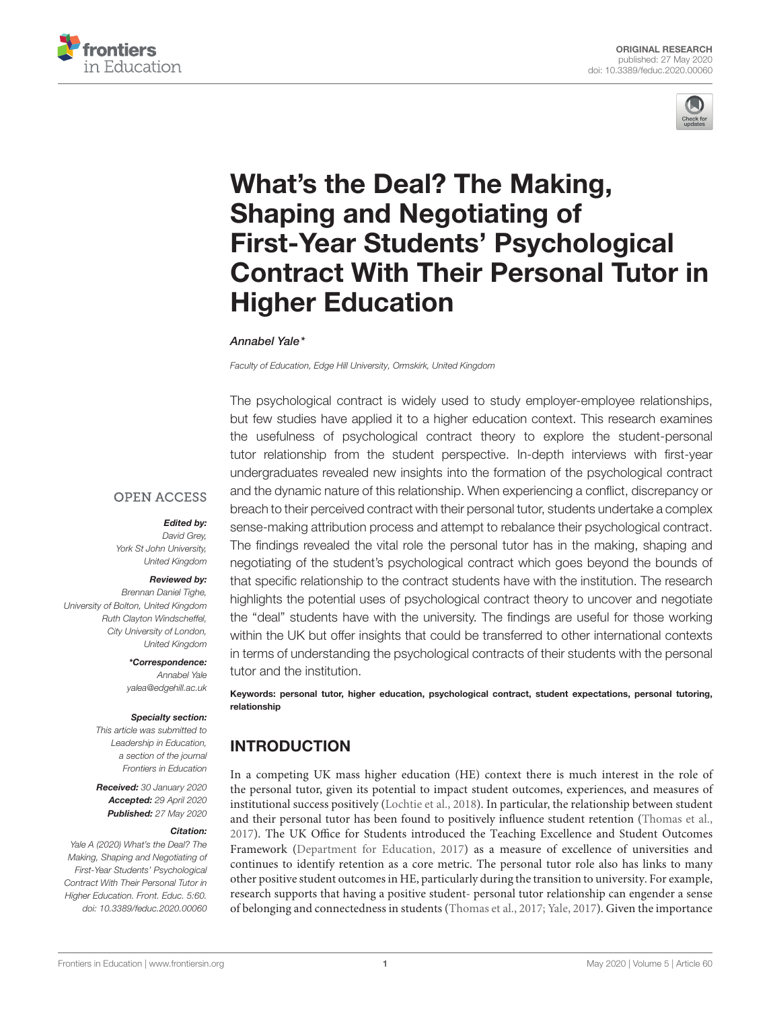



# What's the Deal? The Making, Shaping and Negotiating of First-Year Students' Psychological [Contract With Their Personal Tutor in](https://www.frontiersin.org/articles/10.3389/feduc.2020.00060/full) Higher Education

#### [Annabel Yale\\*](http://loop.frontiersin.org/people/727164/overview)

Faculty of Education, Edge Hill University, Ormskirk, United Kingdom

The psychological contract is widely used to study employer-employee relationships, but few studies have applied it to a higher education context. This research examines the usefulness of psychological contract theory to explore the student-personal tutor relationship from the student perspective. In-depth interviews with first-year undergraduates revealed new insights into the formation of the psychological contract and the dynamic nature of this relationship. When experiencing a conflict, discrepancy or breach to their perceived contract with their personal tutor, students undertake a complex sense-making attribution process and attempt to rebalance their psychological contract. The findings revealed the vital role the personal tutor has in the making, shaping and negotiating of the student's psychological contract which goes beyond the bounds of that specific relationship to the contract students have with the institution. The research highlights the potential uses of psychological contract theory to uncover and negotiate the "deal" students have with the university. The findings are useful for those working within the UK but offer insights that could be transferred to other international contexts in terms of understanding the psychological contracts of their students with the personal tutor and the institution.

Keywords: personal tutor, higher education, psychological contract, student expectations, personal tutoring, relationship

## INTRODUCTION

In a competing UK mass higher education (HE) context there is much interest in the role of the personal tutor, given its potential to impact student outcomes, experiences, and measures of institutional success positively [\(Lochtie et al., 2018\)](#page-10-0). In particular, the relationship between student and their personal tutor has been found to positively influence student retention [\(Thomas et al.,](#page-10-1) [2017\)](#page-10-1). The UK Office for Students introduced the Teaching Excellence and Student Outcomes Framework [\(Department for Education, 2017\)](#page-9-0) as a measure of excellence of universities and continues to identify retention as a core metric. The personal tutor role also has links to many other positive student outcomes in HE, particularly during the transition to university. For example, research supports that having a positive student- personal tutor relationship can engender a sense of belonging and connectedness in students [\(Thomas et al., 2017;](#page-10-1) [Yale, 2017\)](#page-10-2). Given the importance

#### **OPEN ACCESS**

#### Edited by:

David Grey York St John University, United Kingdom

#### Reviewed by:

Brennan Daniel Tighe, University of Bolton, United Kingdom Ruth Clayton Windscheffel, City University of London, United Kingdom

\*Correspondence:

Annabel Yale [yalea@edgehill.ac.uk](mailto:yalea@edgehill.ac.uk)

#### Specialty section:

This article was submitted to Leadership in Education, a section of the journal Frontiers in Education

Received: 30 January 2020 Accepted: 29 April 2020 Published: 27 May 2020

#### Citation:

Yale A (2020) What's the Deal? The Making, Shaping and Negotiating of First-Year Students' Psychological Contract With Their Personal Tutor in Higher Education. Front. Educ. 5:60. doi: [10.3389/feduc.2020.00060](https://doi.org/10.3389/feduc.2020.00060)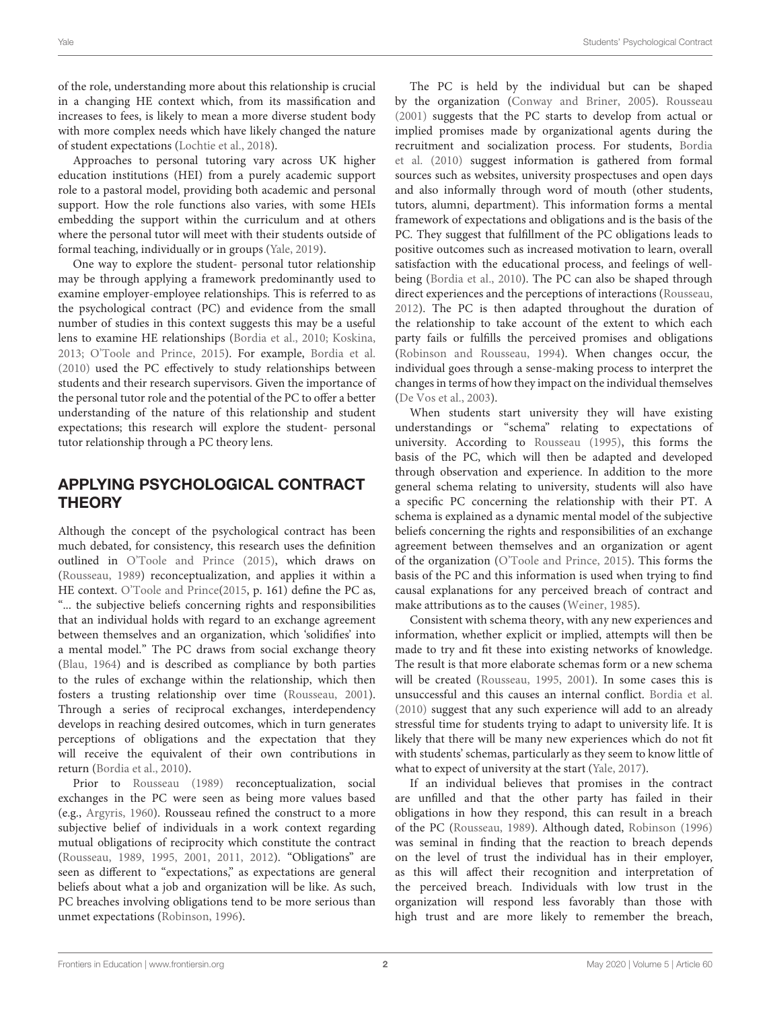of the role, understanding more about this relationship is crucial in a changing HE context which, from its massification and increases to fees, is likely to mean a more diverse student body with more complex needs which have likely changed the nature of student expectations [\(Lochtie et al., 2018\)](#page-10-0).

Approaches to personal tutoring vary across UK higher education institutions (HEI) from a purely academic support role to a pastoral model, providing both academic and personal support. How the role functions also varies, with some HEIs embedding the support within the curriculum and at others where the personal tutor will meet with their students outside of formal teaching, individually or in groups [\(Yale, 2019\)](#page-10-3).

One way to explore the student- personal tutor relationship may be through applying a framework predominantly used to examine employer-employee relationships. This is referred to as the psychological contract (PC) and evidence from the small number of studies in this context suggests this may be a useful lens to examine HE relationships [\(Bordia et al., 2010;](#page-9-1) [Koskina,](#page-9-2) [2013;](#page-9-2) [O'Toole and Prince, 2015\)](#page-10-4). For example, [Bordia et al.](#page-9-1) [\(2010\)](#page-9-1) used the PC effectively to study relationships between students and their research supervisors. Given the importance of the personal tutor role and the potential of the PC to offer a better understanding of the nature of this relationship and student expectations; this research will explore the student- personal tutor relationship through a PC theory lens.

## APPLYING PSYCHOLOGICAL CONTRACT **THEORY**

Although the concept of the psychological contract has been much debated, for consistency, this research uses the definition outlined in [O'Toole and Prince \(2015\)](#page-10-4), which draws on [\(Rousseau, 1989\)](#page-10-5) reconceptualization, and applies it within a HE context. [O'Toole and Prince\(2015,](#page-10-4) p. 161) define the PC as, "... the subjective beliefs concerning rights and responsibilities that an individual holds with regard to an exchange agreement between themselves and an organization, which 'solidifies' into a mental model." The PC draws from social exchange theory [\(Blau, 1964\)](#page-9-3) and is described as compliance by both parties to the rules of exchange within the relationship, which then fosters a trusting relationship over time [\(Rousseau, 2001\)](#page-10-6). Through a series of reciprocal exchanges, interdependency develops in reaching desired outcomes, which in turn generates perceptions of obligations and the expectation that they will receive the equivalent of their own contributions in return [\(Bordia et al., 2010\)](#page-9-1).

Prior to [Rousseau \(1989\)](#page-10-5) reconceptualization, social exchanges in the PC were seen as being more values based (e.g., [Argyris, 1960\)](#page-9-4). Rousseau refined the construct to a more subjective belief of individuals in a work context regarding mutual obligations of reciprocity which constitute the contract [\(Rousseau, 1989,](#page-10-5) [1995,](#page-10-7) [2001,](#page-10-6) [2011,](#page-10-8) [2012\)](#page-10-9). "Obligations" are seen as different to "expectations," as expectations are general beliefs about what a job and organization will be like. As such, PC breaches involving obligations tend to be more serious than unmet expectations [\(Robinson, 1996\)](#page-10-10).

The PC is held by the individual but can be shaped by the organization [\(Conway and Briner, 2005\)](#page-9-5). [Rousseau](#page-10-6) [\(2001\)](#page-10-6) suggests that the PC starts to develop from actual or implied promises made by organizational agents during the recruitment and socialization process. For students, Bordia et al. [\(2010\)](#page-9-1) suggest information is gathered from formal sources such as websites, university prospectuses and open days and also informally through word of mouth (other students, tutors, alumni, department). This information forms a mental framework of expectations and obligations and is the basis of the PC. They suggest that fulfillment of the PC obligations leads to positive outcomes such as increased motivation to learn, overall satisfaction with the educational process, and feelings of wellbeing [\(Bordia et al., 2010\)](#page-9-1). The PC can also be shaped through direct experiences and the perceptions of interactions [\(Rousseau,](#page-10-9) [2012\)](#page-10-9). The PC is then adapted throughout the duration of the relationship to take account of the extent to which each party fails or fulfills the perceived promises and obligations [\(Robinson and Rousseau, 1994\)](#page-10-11). When changes occur, the individual goes through a sense-making process to interpret the changes in terms of how they impact on the individual themselves [\(De Vos et al., 2003\)](#page-9-6).

When students start university they will have existing understandings or "schema" relating to expectations of university. According to [Rousseau \(1995\)](#page-10-7), this forms the basis of the PC, which will then be adapted and developed through observation and experience. In addition to the more general schema relating to university, students will also have a specific PC concerning the relationship with their PT. A schema is explained as a dynamic mental model of the subjective beliefs concerning the rights and responsibilities of an exchange agreement between themselves and an organization or agent of the organization [\(O'Toole and Prince, 2015\)](#page-10-4). This forms the basis of the PC and this information is used when trying to find causal explanations for any perceived breach of contract and make attributions as to the causes [\(Weiner, 1985\)](#page-10-12).

Consistent with schema theory, with any new experiences and information, whether explicit or implied, attempts will then be made to try and fit these into existing networks of knowledge. The result is that more elaborate schemas form or a new schema will be created [\(Rousseau, 1995,](#page-10-7) [2001\)](#page-10-6). In some cases this is unsuccessful and this causes an internal conflict. [Bordia et al.](#page-9-1) [\(2010\)](#page-9-1) suggest that any such experience will add to an already stressful time for students trying to adapt to university life. It is likely that there will be many new experiences which do not fit with students' schemas, particularly as they seem to know little of what to expect of university at the start [\(Yale, 2017\)](#page-10-2).

If an individual believes that promises in the contract are unfilled and that the other party has failed in their obligations in how they respond, this can result in a breach of the PC [\(Rousseau, 1989\)](#page-10-5). Although dated, [Robinson \(1996\)](#page-10-10) was seminal in finding that the reaction to breach depends on the level of trust the individual has in their employer, as this will affect their recognition and interpretation of the perceived breach. Individuals with low trust in the organization will respond less favorably than those with high trust and are more likely to remember the breach,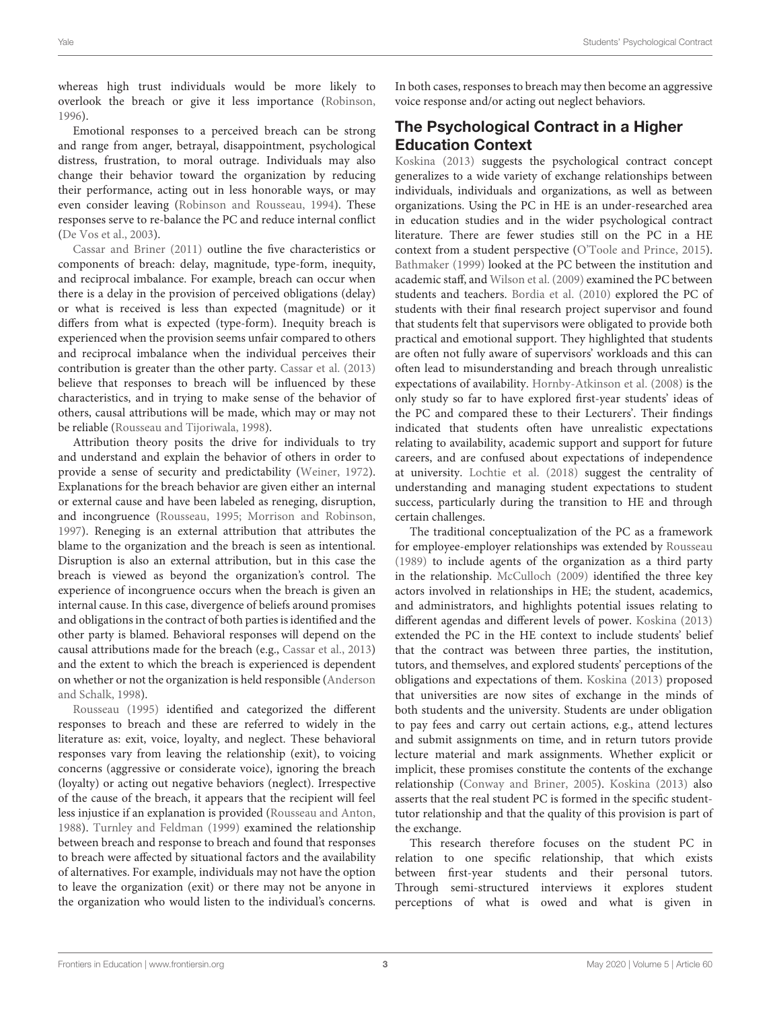whereas high trust individuals would be more likely to overlook the breach or give it less importance [\(Robinson,](#page-10-10) [1996\)](#page-10-10).

Emotional responses to a perceived breach can be strong and range from anger, betrayal, disappointment, psychological distress, frustration, to moral outrage. Individuals may also change their behavior toward the organization by reducing their performance, acting out in less honorable ways, or may even consider leaving [\(Robinson and Rousseau, 1994\)](#page-10-11). These responses serve to re-balance the PC and reduce internal conflict [\(De Vos et al., 2003\)](#page-9-6).

[Cassar and Briner \(2011\)](#page-9-7) outline the five characteristics or components of breach: delay, magnitude, type-form, inequity, and reciprocal imbalance. For example, breach can occur when there is a delay in the provision of perceived obligations (delay) or what is received is less than expected (magnitude) or it differs from what is expected (type-form). Inequity breach is experienced when the provision seems unfair compared to others and reciprocal imbalance when the individual perceives their contribution is greater than the other party. [Cassar et al. \(2013\)](#page-9-8) believe that responses to breach will be influenced by these characteristics, and in trying to make sense of the behavior of others, causal attributions will be made, which may or may not be reliable [\(Rousseau and Tijoriwala, 1998\)](#page-10-13).

Attribution theory posits the drive for individuals to try and understand and explain the behavior of others in order to provide a sense of security and predictability [\(Weiner, 1972\)](#page-10-14). Explanations for the breach behavior are given either an internal or external cause and have been labeled as reneging, disruption, and incongruence [\(Rousseau, 1995;](#page-10-7) [Morrison and Robinson,](#page-10-15) [1997\)](#page-10-15). Reneging is an external attribution that attributes the blame to the organization and the breach is seen as intentional. Disruption is also an external attribution, but in this case the breach is viewed as beyond the organization's control. The experience of incongruence occurs when the breach is given an internal cause. In this case, divergence of beliefs around promises and obligations in the contract of both parties is identified and the other party is blamed. Behavioral responses will depend on the causal attributions made for the breach (e.g., [Cassar et al., 2013\)](#page-9-8) and the extent to which the breach is experienced is dependent on whether or not the organization is held responsible (Anderson and Schalk, [1998\)](#page-9-9).

[Rousseau \(1995\)](#page-10-7) identified and categorized the different responses to breach and these are referred to widely in the literature as: exit, voice, loyalty, and neglect. These behavioral responses vary from leaving the relationship (exit), to voicing concerns (aggressive or considerate voice), ignoring the breach (loyalty) or acting out negative behaviors (neglect). Irrespective of the cause of the breach, it appears that the recipient will feel less injustice if an explanation is provided [\(Rousseau and Anton,](#page-10-16) [1988\)](#page-10-16). [Turnley and Feldman \(1999\)](#page-10-17) examined the relationship between breach and response to breach and found that responses to breach were affected by situational factors and the availability of alternatives. For example, individuals may not have the option to leave the organization (exit) or there may not be anyone in the organization who would listen to the individual's concerns. In both cases, responses to breach may then become an aggressive voice response and/or acting out neglect behaviors.

# The Psychological Contract in a Higher Education Context

[Koskina \(2013\)](#page-9-2) suggests the psychological contract concept generalizes to a wide variety of exchange relationships between individuals, individuals and organizations, as well as between organizations. Using the PC in HE is an under-researched area in education studies and in the wider psychological contract literature. There are fewer studies still on the PC in a HE context from a student perspective [\(O'Toole and Prince, 2015\)](#page-10-4). [Bathmaker \(1999\)](#page-9-10) looked at the PC between the institution and academic staff, and [Wilson et al. \(2009\)](#page-10-18) examined the PC between students and teachers. [Bordia et al. \(2010\)](#page-9-1) explored the PC of students with their final research project supervisor and found that students felt that supervisors were obligated to provide both practical and emotional support. They highlighted that students are often not fully aware of supervisors' workloads and this can often lead to misunderstanding and breach through unrealistic expectations of availability. [Hornby-Atkinson et al. \(2008\)](#page-9-11) is the only study so far to have explored first-year students' ideas of the PC and compared these to their Lecturers'. Their findings indicated that students often have unrealistic expectations relating to availability, academic support and support for future careers, and are confused about expectations of independence at university. [Lochtie et al. \(2018\)](#page-10-0) suggest the centrality of understanding and managing student expectations to student success, particularly during the transition to HE and through certain challenges.

The traditional conceptualization of the PC as a framework for employee-employer relationships was extended by [Rousseau](#page-10-5) [\(1989\)](#page-10-5) to include agents of the organization as a third party in the relationship. [McCulloch \(2009\)](#page-10-19) identified the three key actors involved in relationships in HE; the student, academics, and administrators, and highlights potential issues relating to different agendas and different levels of power. [Koskina \(2013\)](#page-9-2) extended the PC in the HE context to include students' belief that the contract was between three parties, the institution, tutors, and themselves, and explored students' perceptions of the obligations and expectations of them. [Koskina \(2013\)](#page-9-2) proposed that universities are now sites of exchange in the minds of both students and the university. Students are under obligation to pay fees and carry out certain actions, e.g., attend lectures and submit assignments on time, and in return tutors provide lecture material and mark assignments. Whether explicit or implicit, these promises constitute the contents of the exchange relationship [\(Conway and Briner, 2005\)](#page-9-5). [Koskina \(2013\)](#page-9-2) also asserts that the real student PC is formed in the specific studenttutor relationship and that the quality of this provision is part of the exchange.

This research therefore focuses on the student PC in relation to one specific relationship, that which exists between first-year students and their personal tutors. Through semi-structured interviews it explores student perceptions of what is owed and what is given in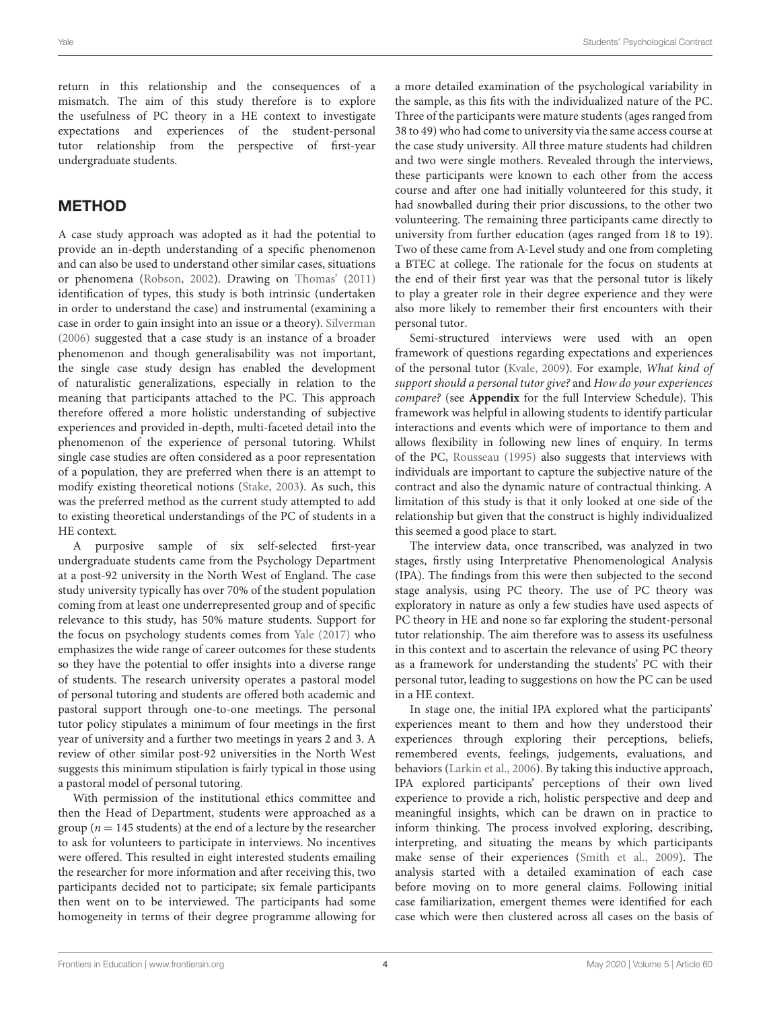return in this relationship and the consequences of a mismatch. The aim of this study therefore is to explore the usefulness of PC theory in a HE context to investigate expectations and experiences of the student-personal tutor relationship from the perspective of first-year undergraduate students.

# METHOD

A case study approach was adopted as it had the potential to provide an in-depth understanding of a specific phenomenon and can also be used to understand other similar cases, situations or phenomena [\(Robson, 2002\)](#page-10-20). Drawing on [Thomas' \(2011\)](#page-10-21) identification of types, this study is both intrinsic (undertaken in order to understand the case) and instrumental (examining a case in order to gain insight into an issue or a theory). [Silverman](#page-10-22) [\(2006\)](#page-10-22) suggested that a case study is an instance of a broader phenomenon and though generalisability was not important, the single case study design has enabled the development of naturalistic generalizations, especially in relation to the meaning that participants attached to the PC. This approach therefore offered a more holistic understanding of subjective experiences and provided in-depth, multi-faceted detail into the phenomenon of the experience of personal tutoring. Whilst single case studies are often considered as a poor representation of a population, they are preferred when there is an attempt to modify existing theoretical notions [\(Stake, 2003\)](#page-10-23). As such, this was the preferred method as the current study attempted to add to existing theoretical understandings of the PC of students in a HE context.

A purposive sample of six self-selected first-year undergraduate students came from the Psychology Department at a post-92 university in the North West of England. The case study university typically has over 70% of the student population coming from at least one underrepresented group and of specific relevance to this study, has 50% mature students. Support for the focus on psychology students comes from [Yale \(2017\)](#page-10-2) who emphasizes the wide range of career outcomes for these students so they have the potential to offer insights into a diverse range of students. The research university operates a pastoral model of personal tutoring and students are offered both academic and pastoral support through one-to-one meetings. The personal tutor policy stipulates a minimum of four meetings in the first year of university and a further two meetings in years 2 and 3. A review of other similar post-92 universities in the North West suggests this minimum stipulation is fairly typical in those using a pastoral model of personal tutoring.

With permission of the institutional ethics committee and then the Head of Department, students were approached as a group ( $n = 145$  students) at the end of a lecture by the researcher to ask for volunteers to participate in interviews. No incentives were offered. This resulted in eight interested students emailing the researcher for more information and after receiving this, two participants decided not to participate; six female participants then went on to be interviewed. The participants had some homogeneity in terms of their degree programme allowing for a more detailed examination of the psychological variability in the sample, as this fits with the individualized nature of the PC. Three of the participants were mature students (ages ranged from 38 to 49) who had come to university via the same access course at the case study university. All three mature students had children and two were single mothers. Revealed through the interviews, these participants were known to each other from the access course and after one had initially volunteered for this study, it had snowballed during their prior discussions, to the other two volunteering. The remaining three participants came directly to university from further education (ages ranged from 18 to 19). Two of these came from A-Level study and one from completing a BTEC at college. The rationale for the focus on students at the end of their first year was that the personal tutor is likely to play a greater role in their degree experience and they were also more likely to remember their first encounters with their personal tutor.

Semi-structured interviews were used with an open framework of questions regarding expectations and experiences of the personal tutor [\(Kvale, 2009\)](#page-9-12). For example, What kind of support should a personal tutor give? and How do your experiences compare? (see **[Appendix](#page-11-0)** for the full Interview Schedule). This framework was helpful in allowing students to identify particular interactions and events which were of importance to them and allows flexibility in following new lines of enquiry. In terms of the PC, [Rousseau \(1995\)](#page-10-7) also suggests that interviews with individuals are important to capture the subjective nature of the contract and also the dynamic nature of contractual thinking. A limitation of this study is that it only looked at one side of the relationship but given that the construct is highly individualized this seemed a good place to start.

The interview data, once transcribed, was analyzed in two stages, firstly using Interpretative Phenomenological Analysis (IPA). The findings from this were then subjected to the second stage analysis, using PC theory. The use of PC theory was exploratory in nature as only a few studies have used aspects of PC theory in HE and none so far exploring the student-personal tutor relationship. The aim therefore was to assess its usefulness in this context and to ascertain the relevance of using PC theory as a framework for understanding the students' PC with their personal tutor, leading to suggestions on how the PC can be used in a HE context.

In stage one, the initial IPA explored what the participants' experiences meant to them and how they understood their experiences through exploring their perceptions, beliefs, remembered events, feelings, judgements, evaluations, and behaviors [\(Larkin et al., 2006\)](#page-9-13). By taking this inductive approach, IPA explored participants' perceptions of their own lived experience to provide a rich, holistic perspective and deep and meaningful insights, which can be drawn on in practice to inform thinking. The process involved exploring, describing, interpreting, and situating the means by which participants make sense of their experiences [\(Smith et al., 2009\)](#page-10-24). The analysis started with a detailed examination of each case before moving on to more general claims. Following initial case familiarization, emergent themes were identified for each case which were then clustered across all cases on the basis of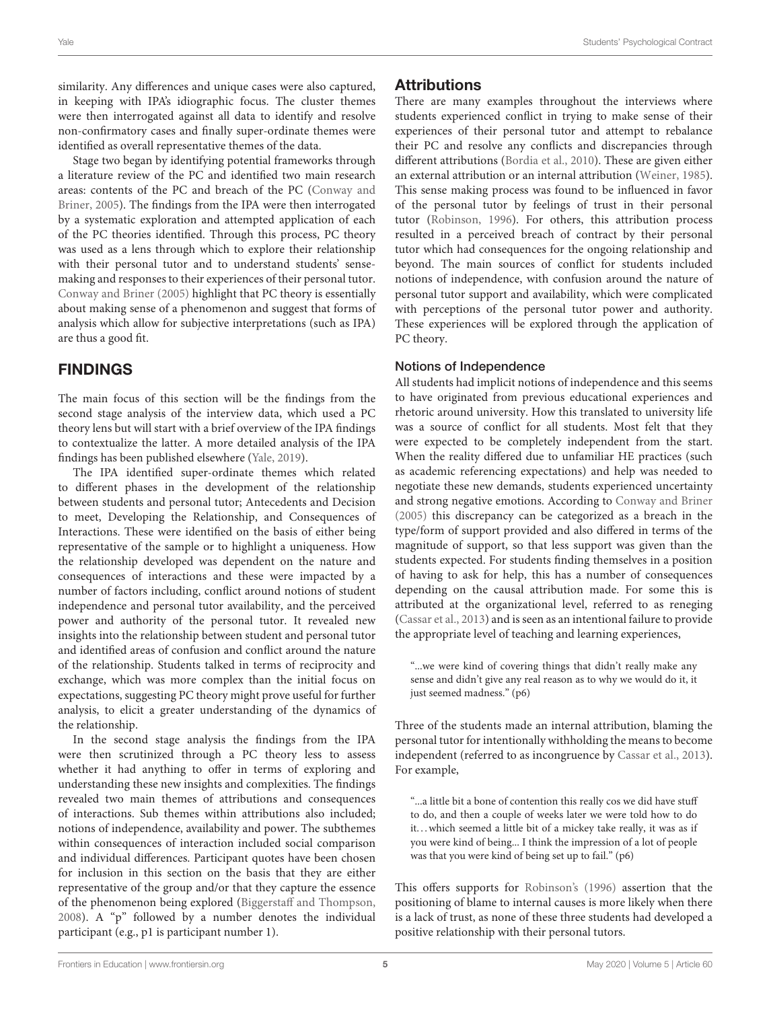similarity. Any differences and unique cases were also captured, in keeping with IPA's idiographic focus. The cluster themes were then interrogated against all data to identify and resolve non-confirmatory cases and finally super-ordinate themes were identified as overall representative themes of the data.

Stage two began by identifying potential frameworks through a literature review of the PC and identified two main research areas: contents of the PC and breach of the PC (Conway and Briner, [2005\)](#page-9-5). The findings from the IPA were then interrogated by a systematic exploration and attempted application of each of the PC theories identified. Through this process, PC theory was used as a lens through which to explore their relationship with their personal tutor and to understand students' sensemaking and responses to their experiences of their personal tutor. [Conway and Briner \(2005\)](#page-9-5) highlight that PC theory is essentially about making sense of a phenomenon and suggest that forms of analysis which allow for subjective interpretations (such as IPA) are thus a good fit.

# FINDINGS

The main focus of this section will be the findings from the second stage analysis of the interview data, which used a PC theory lens but will start with a brief overview of the IPA findings to contextualize the latter. A more detailed analysis of the IPA findings has been published elsewhere [\(Yale, 2019\)](#page-10-3).

The IPA identified super-ordinate themes which related to different phases in the development of the relationship between students and personal tutor; Antecedents and Decision to meet, Developing the Relationship, and Consequences of Interactions. These were identified on the basis of either being representative of the sample or to highlight a uniqueness. How the relationship developed was dependent on the nature and consequences of interactions and these were impacted by a number of factors including, conflict around notions of student independence and personal tutor availability, and the perceived power and authority of the personal tutor. It revealed new insights into the relationship between student and personal tutor and identified areas of confusion and conflict around the nature of the relationship. Students talked in terms of reciprocity and exchange, which was more complex than the initial focus on expectations, suggesting PC theory might prove useful for further analysis, to elicit a greater understanding of the dynamics of the relationship.

In the second stage analysis the findings from the IPA were then scrutinized through a PC theory less to assess whether it had anything to offer in terms of exploring and understanding these new insights and complexities. The findings revealed two main themes of attributions and consequences of interactions. Sub themes within attributions also included; notions of independence, availability and power. The subthemes within consequences of interaction included social comparison and individual differences. Participant quotes have been chosen for inclusion in this section on the basis that they are either representative of the group and/or that they capture the essence of the phenomenon being explored [\(Biggerstaff and Thompson,](#page-9-14) [2008\)](#page-9-14). A "p" followed by a number denotes the individual participant (e.g., p1 is participant number 1).

## **Attributions**

There are many examples throughout the interviews where students experienced conflict in trying to make sense of their experiences of their personal tutor and attempt to rebalance their PC and resolve any conflicts and discrepancies through different attributions [\(Bordia et al., 2010\)](#page-9-1). These are given either an external attribution or an internal attribution [\(Weiner, 1985\)](#page-10-12). This sense making process was found to be influenced in favor of the personal tutor by feelings of trust in their personal tutor [\(Robinson, 1996\)](#page-10-10). For others, this attribution process resulted in a perceived breach of contract by their personal tutor which had consequences for the ongoing relationship and beyond. The main sources of conflict for students included notions of independence, with confusion around the nature of personal tutor support and availability, which were complicated with perceptions of the personal tutor power and authority. These experiences will be explored through the application of PC theory.

#### Notions of Independence

All students had implicit notions of independence and this seems to have originated from previous educational experiences and rhetoric around university. How this translated to university life was a source of conflict for all students. Most felt that they were expected to be completely independent from the start. When the reality differed due to unfamiliar HE practices (such as academic referencing expectations) and help was needed to negotiate these new demands, students experienced uncertainty and strong negative emotions. According to [Conway and Briner](#page-9-5) [\(2005\)](#page-9-5) this discrepancy can be categorized as a breach in the type/form of support provided and also differed in terms of the magnitude of support, so that less support was given than the students expected. For students finding themselves in a position of having to ask for help, this has a number of consequences depending on the causal attribution made. For some this is attributed at the organizational level, referred to as reneging [\(Cassar et al., 2013\)](#page-9-8) and is seen as an intentional failure to provide the appropriate level of teaching and learning experiences,

"...we were kind of covering things that didn't really make any sense and didn't give any real reason as to why we would do it, it just seemed madness." (p6)

Three of the students made an internal attribution, blaming the personal tutor for intentionally withholding the means to become independent (referred to as incongruence by [Cassar et al., 2013\)](#page-9-8). For example,

"...a little bit a bone of contention this really cos we did have stuff to do, and then a couple of weeks later we were told how to do it...which seemed a little bit of a mickey take really, it was as if you were kind of being... I think the impression of a lot of people was that you were kind of being set up to fail." (p6)

This offers supports for [Robinson's \(1996\)](#page-10-10) assertion that the positioning of blame to internal causes is more likely when there is a lack of trust, as none of these three students had developed a positive relationship with their personal tutors.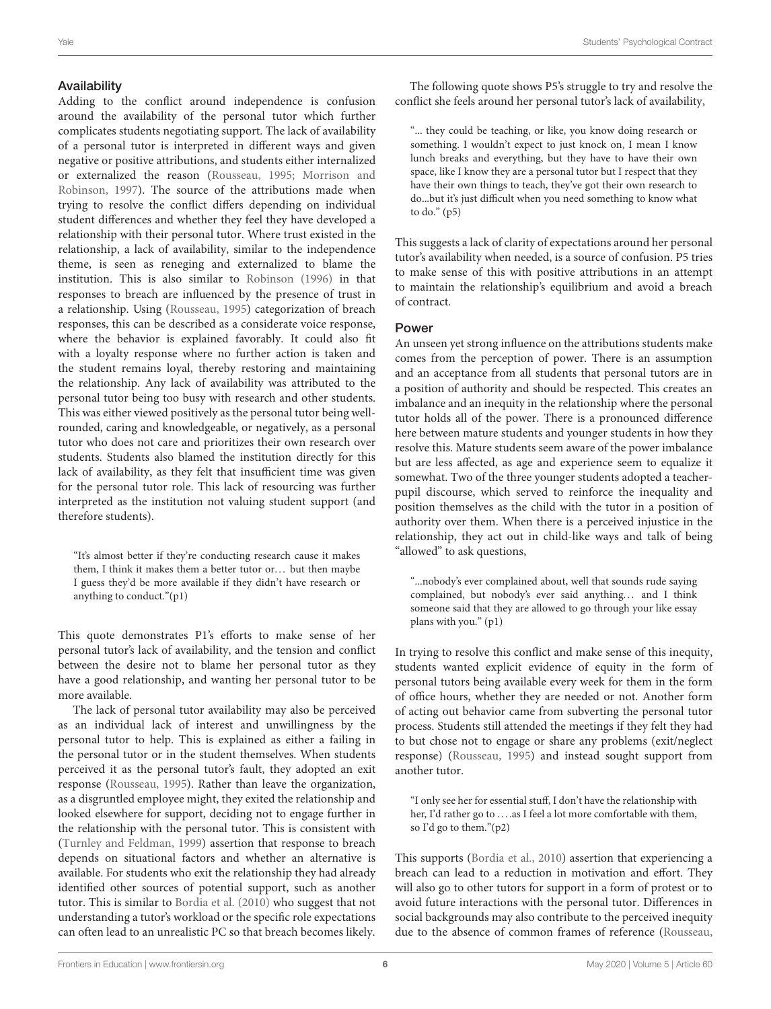#### Availability

Adding to the conflict around independence is confusion around the availability of the personal tutor which further complicates students negotiating support. The lack of availability of a personal tutor is interpreted in different ways and given negative or positive attributions, and students either internalized or externalized the reason [\(Rousseau, 1995;](#page-10-7) Morrison and Robinson, [1997\)](#page-10-15). The source of the attributions made when trying to resolve the conflict differs depending on individual student differences and whether they feel they have developed a relationship with their personal tutor. Where trust existed in the relationship, a lack of availability, similar to the independence theme, is seen as reneging and externalized to blame the institution. This is also similar to [Robinson \(1996\)](#page-10-10) in that responses to breach are influenced by the presence of trust in a relationship. Using [\(Rousseau, 1995\)](#page-10-7) categorization of breach responses, this can be described as a considerate voice response, where the behavior is explained favorably. It could also fit with a loyalty response where no further action is taken and the student remains loyal, thereby restoring and maintaining the relationship. Any lack of availability was attributed to the personal tutor being too busy with research and other students. This was either viewed positively as the personal tutor being wellrounded, caring and knowledgeable, or negatively, as a personal tutor who does not care and prioritizes their own research over students. Students also blamed the institution directly for this lack of availability, as they felt that insufficient time was given for the personal tutor role. This lack of resourcing was further interpreted as the institution not valuing student support (and therefore students).

"It's almost better if they're conducting research cause it makes them, I think it makes them a better tutor or... but then maybe I guess they'd be more available if they didn't have research or anything to conduct."(p1)

This quote demonstrates P1's efforts to make sense of her personal tutor's lack of availability, and the tension and conflict between the desire not to blame her personal tutor as they have a good relationship, and wanting her personal tutor to be more available.

The lack of personal tutor availability may also be perceived as an individual lack of interest and unwillingness by the personal tutor to help. This is explained as either a failing in the personal tutor or in the student themselves. When students perceived it as the personal tutor's fault, they adopted an exit response [\(Rousseau, 1995\)](#page-10-7). Rather than leave the organization, as a disgruntled employee might, they exited the relationship and looked elsewhere for support, deciding not to engage further in the relationship with the personal tutor. This is consistent with [\(Turnley and Feldman, 1999\)](#page-10-17) assertion that response to breach depends on situational factors and whether an alternative is available. For students who exit the relationship they had already identified other sources of potential support, such as another tutor. This is similar to [Bordia et al. \(2010\)](#page-9-1) who suggest that not understanding a tutor's workload or the specific role expectations can often lead to an unrealistic PC so that breach becomes likely.

The following quote shows P5's struggle to try and resolve the conflict she feels around her personal tutor's lack of availability,

"... they could be teaching, or like, you know doing research or something. I wouldn't expect to just knock on, I mean I know lunch breaks and everything, but they have to have their own space, like I know they are a personal tutor but I respect that they have their own things to teach, they've got their own research to do...but it's just difficult when you need something to know what to do." (p5)

This suggests a lack of clarity of expectations around her personal tutor's availability when needed, is a source of confusion. P5 tries to make sense of this with positive attributions in an attempt to maintain the relationship's equilibrium and avoid a breach of contract.

#### Power

An unseen yet strong influence on the attributions students make comes from the perception of power. There is an assumption and an acceptance from all students that personal tutors are in a position of authority and should be respected. This creates an imbalance and an inequity in the relationship where the personal tutor holds all of the power. There is a pronounced difference here between mature students and younger students in how they resolve this. Mature students seem aware of the power imbalance but are less affected, as age and experience seem to equalize it somewhat. Two of the three younger students adopted a teacherpupil discourse, which served to reinforce the inequality and position themselves as the child with the tutor in a position of authority over them. When there is a perceived injustice in the relationship, they act out in child-like ways and talk of being "allowed" to ask questions,

"...nobody's ever complained about, well that sounds rude saying complained, but nobody's ever said anything... and I think someone said that they are allowed to go through your like essay plans with you." (p1)

In trying to resolve this conflict and make sense of this inequity, students wanted explicit evidence of equity in the form of personal tutors being available every week for them in the form of office hours, whether they are needed or not. Another form of acting out behavior came from subverting the personal tutor process. Students still attended the meetings if they felt they had to but chose not to engage or share any problems (exit/neglect response) [\(Rousseau, 1995\)](#page-10-7) and instead sought support from another tutor.

"I only see her for essential stuff, I don't have the relationship with her, I'd rather go to ....as I feel a lot more comfortable with them, so I'd go to them."(p2)

This supports [\(Bordia et al., 2010\)](#page-9-1) assertion that experiencing a breach can lead to a reduction in motivation and effort. They will also go to other tutors for support in a form of protest or to avoid future interactions with the personal tutor. Differences in social backgrounds may also contribute to the perceived inequity due to the absence of common frames of reference [\(Rousseau,](#page-10-6)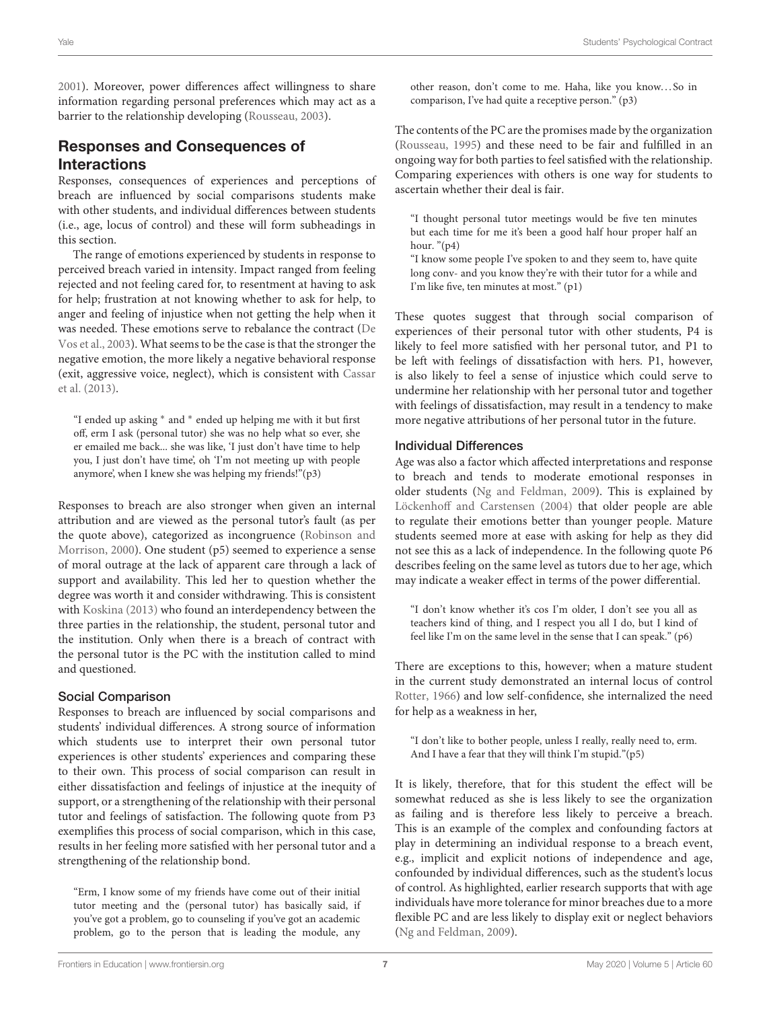[2001\)](#page-10-6). Moreover, power differences affect willingness to share information regarding personal preferences which may act as a barrier to the relationship developing [\(Rousseau, 2003\)](#page-10-25).

# Responses and Consequences of Interactions

Responses, consequences of experiences and perceptions of breach are influenced by social comparisons students make with other students, and individual differences between students (i.e., age, locus of control) and these will form subheadings in this section.

The range of emotions experienced by students in response to perceived breach varied in intensity. Impact ranged from feeling rejected and not feeling cared for, to resentment at having to ask for help; frustration at not knowing whether to ask for help, to anger and feeling of injustice when not getting the help when it was needed. These emotions serve to rebalance the contract (De Vos et al., [2003\)](#page-9-6). What seems to be the case is that the stronger the negative emotion, the more likely a negative behavioral response (exit, aggressive voice, neglect), which is consistent with Cassar et al. [\(2013\)](#page-9-8).

"I ended up asking <sup>∗</sup> and <sup>∗</sup> ended up helping me with it but first off, erm I ask (personal tutor) she was no help what so ever, she er emailed me back... she was like, 'I just don't have time to help you, I just don't have time', oh 'I'm not meeting up with people anymore', when I knew she was helping my friends!"(p3)

Responses to breach are also stronger when given an internal attribution and are viewed as the personal tutor's fault (as per the quote above), categorized as incongruence (Robinson and Morrison, [2000\)](#page-10-26). One student (p5) seemed to experience a sense of moral outrage at the lack of apparent care through a lack of support and availability. This led her to question whether the degree was worth it and consider withdrawing. This is consistent with [Koskina \(2013\)](#page-9-2) who found an interdependency between the three parties in the relationship, the student, personal tutor and the institution. Only when there is a breach of contract with the personal tutor is the PC with the institution called to mind and questioned.

#### Social Comparison

Responses to breach are influenced by social comparisons and students' individual differences. A strong source of information which students use to interpret their own personal tutor experiences is other students' experiences and comparing these to their own. This process of social comparison can result in either dissatisfaction and feelings of injustice at the inequity of support, or a strengthening of the relationship with their personal tutor and feelings of satisfaction. The following quote from P3 exemplifies this process of social comparison, which in this case, results in her feeling more satisfied with her personal tutor and a strengthening of the relationship bond.

"Erm, I know some of my friends have come out of their initial tutor meeting and the (personal tutor) has basically said, if you've got a problem, go to counseling if you've got an academic problem, go to the person that is leading the module, any other reason, don't come to me. Haha, like you know...So in comparison, I've had quite a receptive person." (p3)

The contents of the PC are the promises made by the organization [\(Rousseau, 1995\)](#page-10-7) and these need to be fair and fulfilled in an ongoing way for both parties to feel satisfied with the relationship. Comparing experiences with others is one way for students to ascertain whether their deal is fair.

"I thought personal tutor meetings would be five ten minutes but each time for me it's been a good half hour proper half an hour.  $"({p4})$ 

"I know some people I've spoken to and they seem to, have quite long conv- and you know they're with their tutor for a while and I'm like five, ten minutes at most." (p1)

These quotes suggest that through social comparison of experiences of their personal tutor with other students, P4 is likely to feel more satisfied with her personal tutor, and P1 to be left with feelings of dissatisfaction with hers. P1, however, is also likely to feel a sense of injustice which could serve to undermine her relationship with her personal tutor and together with feelings of dissatisfaction, may result in a tendency to make more negative attributions of her personal tutor in the future.

#### Individual Differences

Age was also a factor which affected interpretations and response to breach and tends to moderate emotional responses in older students [\(Ng and Feldman, 2009\)](#page-10-27). This is explained by [Löckenhoff and Carstensen \(2004\)](#page-10-28) that older people are able to regulate their emotions better than younger people. Mature students seemed more at ease with asking for help as they did not see this as a lack of independence. In the following quote P6 describes feeling on the same level as tutors due to her age, which may indicate a weaker effect in terms of the power differential.

"I don't know whether it's cos I'm older, I don't see you all as teachers kind of thing, and I respect you all I do, but I kind of feel like I'm on the same level in the sense that I can speak." (p6)

There are exceptions to this, however; when a mature student in the current study demonstrated an internal locus of control [Rotter, 1966\)](#page-10-29) and low self-confidence, she internalized the need for help as a weakness in her,

"I don't like to bother people, unless I really, really need to, erm. And I have a fear that they will think I'm stupid."(p5)

It is likely, therefore, that for this student the effect will be somewhat reduced as she is less likely to see the organization as failing and is therefore less likely to perceive a breach. This is an example of the complex and confounding factors at play in determining an individual response to a breach event, e.g., implicit and explicit notions of independence and age, confounded by individual differences, such as the student's locus of control. As highlighted, earlier research supports that with age individuals have more tolerance for minor breaches due to a more flexible PC and are less likely to display exit or neglect behaviors [\(Ng and Feldman, 2009\)](#page-10-27).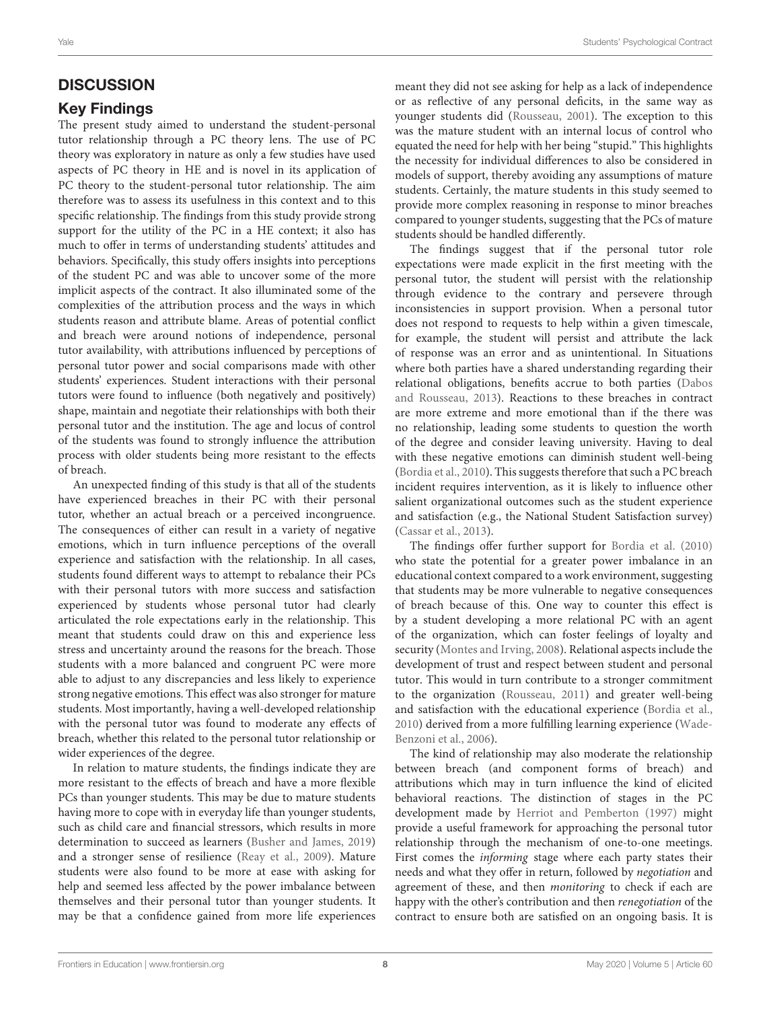# **DISCUSSION**

## Key Findings

The present study aimed to understand the student-personal tutor relationship through a PC theory lens. The use of PC theory was exploratory in nature as only a few studies have used aspects of PC theory in HE and is novel in its application of PC theory to the student-personal tutor relationship. The aim therefore was to assess its usefulness in this context and to this specific relationship. The findings from this study provide strong support for the utility of the PC in a HE context; it also has much to offer in terms of understanding students' attitudes and behaviors. Specifically, this study offers insights into perceptions of the student PC and was able to uncover some of the more implicit aspects of the contract. It also illuminated some of the complexities of the attribution process and the ways in which students reason and attribute blame. Areas of potential conflict and breach were around notions of independence, personal tutor availability, with attributions influenced by perceptions of personal tutor power and social comparisons made with other students' experiences. Student interactions with their personal tutors were found to influence (both negatively and positively) shape, maintain and negotiate their relationships with both their personal tutor and the institution. The age and locus of control of the students was found to strongly influence the attribution process with older students being more resistant to the effects of breach.

An unexpected finding of this study is that all of the students have experienced breaches in their PC with their personal tutor, whether an actual breach or a perceived incongruence. The consequences of either can result in a variety of negative emotions, which in turn influence perceptions of the overall experience and satisfaction with the relationship. In all cases, students found different ways to attempt to rebalance their PCs with their personal tutors with more success and satisfaction experienced by students whose personal tutor had clearly articulated the role expectations early in the relationship. This meant that students could draw on this and experience less stress and uncertainty around the reasons for the breach. Those students with a more balanced and congruent PC were more able to adjust to any discrepancies and less likely to experience strong negative emotions. This effect was also stronger for mature students. Most importantly, having a well-developed relationship with the personal tutor was found to moderate any effects of breach, whether this related to the personal tutor relationship or wider experiences of the degree.

In relation to mature students, the findings indicate they are more resistant to the effects of breach and have a more flexible PCs than younger students. This may be due to mature students having more to cope with in everyday life than younger students, such as child care and financial stressors, which results in more determination to succeed as learners [\(Busher and James, 2019\)](#page-9-15) and a stronger sense of resilience [\(Reay et al., 2009\)](#page-10-30). Mature students were also found to be more at ease with asking for help and seemed less affected by the power imbalance between themselves and their personal tutor than younger students. It may be that a confidence gained from more life experiences meant they did not see asking for help as a lack of independence or as reflective of any personal deficits, in the same way as younger students did [\(Rousseau, 2001\)](#page-10-6). The exception to this was the mature student with an internal locus of control who equated the need for help with her being "stupid." This highlights the necessity for individual differences to also be considered in models of support, thereby avoiding any assumptions of mature students. Certainly, the mature students in this study seemed to provide more complex reasoning in response to minor breaches compared to younger students, suggesting that the PCs of mature students should be handled differently.

The findings suggest that if the personal tutor role expectations were made explicit in the first meeting with the personal tutor, the student will persist with the relationship through evidence to the contrary and persevere through inconsistencies in support provision. When a personal tutor does not respond to requests to help within a given timescale, for example, the student will persist and attribute the lack of response was an error and as unintentional. In Situations where both parties have a shared understanding regarding their relational obligations, benefits accrue to both parties (Dabos and Rousseau, [2013\)](#page-9-16). Reactions to these breaches in contract are more extreme and more emotional than if the there was no relationship, leading some students to question the worth of the degree and consider leaving university. Having to deal with these negative emotions can diminish student well-being [\(Bordia et al., 2010\)](#page-9-1). This suggests therefore that such a PC breach incident requires intervention, as it is likely to influence other salient organizational outcomes such as the student experience and satisfaction (e.g., the National Student Satisfaction survey) [\(Cassar et al., 2013\)](#page-9-8).

The findings offer further support for [Bordia et al. \(2010\)](#page-9-1) who state the potential for a greater power imbalance in an educational context compared to a work environment, suggesting that students may be more vulnerable to negative consequences of breach because of this. One way to counter this effect is by a student developing a more relational PC with an agent of the organization, which can foster feelings of loyalty and security [\(Montes and Irving, 2008\)](#page-10-31). Relational aspects include the development of trust and respect between student and personal tutor. This would in turn contribute to a stronger commitment to the organization [\(Rousseau, 2011\)](#page-10-8) and greater well-being and satisfaction with the educational experience [\(Bordia et al.,](#page-9-1) [2010\)](#page-9-1) derived from a more fulfilling learning experience (Wade-Benzoni et al., [2006\)](#page-10-32).

The kind of relationship may also moderate the relationship between breach (and component forms of breach) and attributions which may in turn influence the kind of elicited behavioral reactions. The distinction of stages in the PC development made by [Herriot and Pemberton \(1997\)](#page-9-17) might provide a useful framework for approaching the personal tutor relationship through the mechanism of one-to-one meetings. First comes the informing stage where each party states their needs and what they offer in return, followed by negotiation and agreement of these, and then monitoring to check if each are happy with the other's contribution and then renegotiation of the contract to ensure both are satisfied on an ongoing basis. It is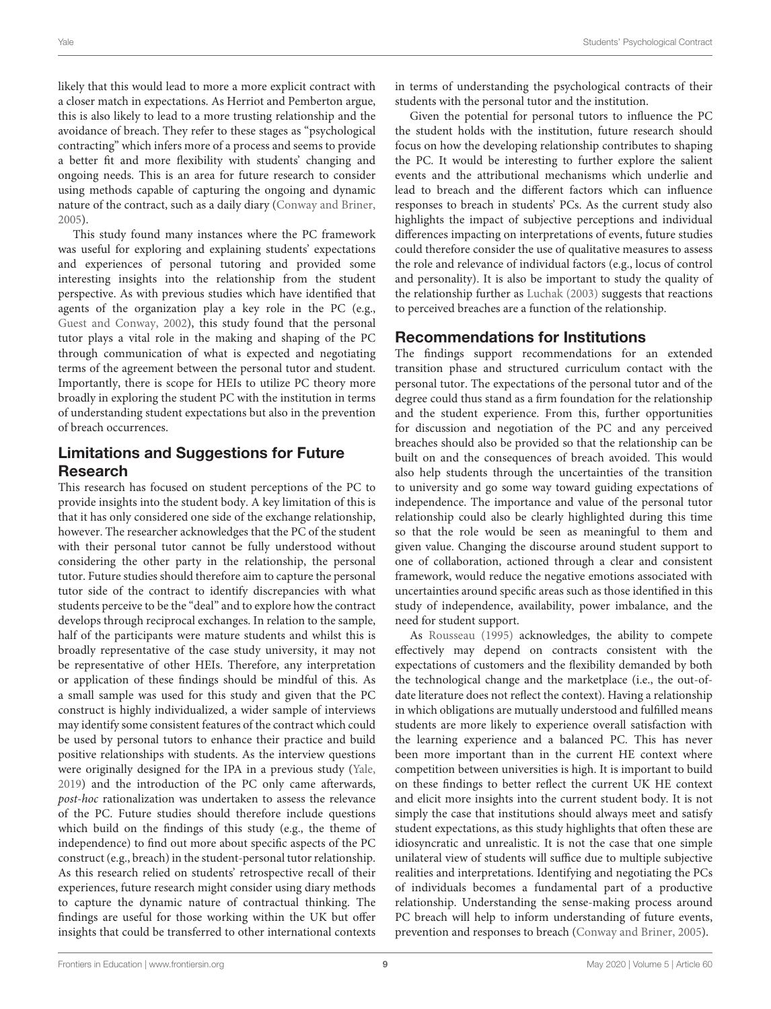likely that this would lead to more a more explicit contract with a closer match in expectations. As Herriot and Pemberton argue, this is also likely to lead to a more trusting relationship and the avoidance of breach. They refer to these stages as "psychological contracting" which infers more of a process and seems to provide a better fit and more flexibility with students' changing and ongoing needs. This is an area for future research to consider using methods capable of capturing the ongoing and dynamic nature of the contract, such as a daily diary [\(Conway and Briner,](#page-9-5) [2005\)](#page-9-5).

This study found many instances where the PC framework was useful for exploring and explaining students' expectations and experiences of personal tutoring and provided some interesting insights into the relationship from the student perspective. As with previous studies which have identified that agents of the organization play a key role in the PC (e.g., [Guest and Conway, 2002\)](#page-9-18), this study found that the personal tutor plays a vital role in the making and shaping of the PC through communication of what is expected and negotiating terms of the agreement between the personal tutor and student. Importantly, there is scope for HEIs to utilize PC theory more broadly in exploring the student PC with the institution in terms of understanding student expectations but also in the prevention of breach occurrences.

# Limitations and Suggestions for Future Research

This research has focused on student perceptions of the PC to provide insights into the student body. A key limitation of this is that it has only considered one side of the exchange relationship, however. The researcher acknowledges that the PC of the student with their personal tutor cannot be fully understood without considering the other party in the relationship, the personal tutor. Future studies should therefore aim to capture the personal tutor side of the contract to identify discrepancies with what students perceive to be the "deal" and to explore how the contract develops through reciprocal exchanges. In relation to the sample, half of the participants were mature students and whilst this is broadly representative of the case study university, it may not be representative of other HEIs. Therefore, any interpretation or application of these findings should be mindful of this. As a small sample was used for this study and given that the PC construct is highly individualized, a wider sample of interviews may identify some consistent features of the contract which could be used by personal tutors to enhance their practice and build positive relationships with students. As the interview questions were originally designed for the IPA in a previous study [\(Yale,](#page-10-3) [2019\)](#page-10-3) and the introduction of the PC only came afterwards, post-hoc rationalization was undertaken to assess the relevance of the PC. Future studies should therefore include questions which build on the findings of this study (e.g., the theme of independence) to find out more about specific aspects of the PC construct (e.g., breach) in the student-personal tutor relationship. As this research relied on students' retrospective recall of their experiences, future research might consider using diary methods to capture the dynamic nature of contractual thinking. The findings are useful for those working within the UK but offer insights that could be transferred to other international contexts in terms of understanding the psychological contracts of their students with the personal tutor and the institution.

Given the potential for personal tutors to influence the PC the student holds with the institution, future research should focus on how the developing relationship contributes to shaping the PC. It would be interesting to further explore the salient events and the attributional mechanisms which underlie and lead to breach and the different factors which can influence responses to breach in students' PCs. As the current study also highlights the impact of subjective perceptions and individual differences impacting on interpretations of events, future studies could therefore consider the use of qualitative measures to assess the role and relevance of individual factors (e.g., locus of control and personality). It is also be important to study the quality of the relationship further as [Luchak \(2003\)](#page-10-33) suggests that reactions to perceived breaches are a function of the relationship.

# Recommendations for Institutions

The findings support recommendations for an extended transition phase and structured curriculum contact with the personal tutor. The expectations of the personal tutor and of the degree could thus stand as a firm foundation for the relationship and the student experience. From this, further opportunities for discussion and negotiation of the PC and any perceived breaches should also be provided so that the relationship can be built on and the consequences of breach avoided. This would also help students through the uncertainties of the transition to university and go some way toward guiding expectations of independence. The importance and value of the personal tutor relationship could also be clearly highlighted during this time so that the role would be seen as meaningful to them and given value. Changing the discourse around student support to one of collaboration, actioned through a clear and consistent framework, would reduce the negative emotions associated with uncertainties around specific areas such as those identified in this study of independence, availability, power imbalance, and the need for student support.

As [Rousseau \(1995\)](#page-10-7) acknowledges, the ability to compete effectively may depend on contracts consistent with the expectations of customers and the flexibility demanded by both the technological change and the marketplace (i.e., the out-ofdate literature does not reflect the context). Having a relationship in which obligations are mutually understood and fulfilled means students are more likely to experience overall satisfaction with the learning experience and a balanced PC. This has never been more important than in the current HE context where competition between universities is high. It is important to build on these findings to better reflect the current UK HE context and elicit more insights into the current student body. It is not simply the case that institutions should always meet and satisfy student expectations, as this study highlights that often these are idiosyncratic and unrealistic. It is not the case that one simple unilateral view of students will suffice due to multiple subjective realities and interpretations. Identifying and negotiating the PCs of individuals becomes a fundamental part of a productive relationship. Understanding the sense-making process around PC breach will help to inform understanding of future events, prevention and responses to breach [\(Conway and Briner, 2005\)](#page-9-5).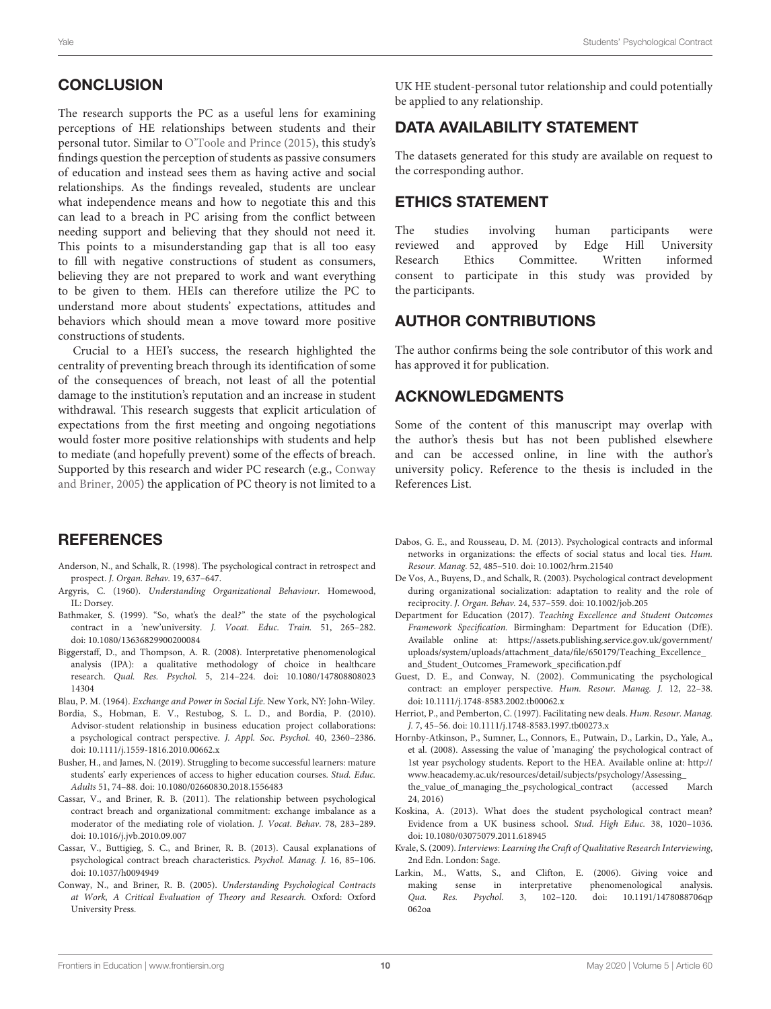## **CONCLUSION**

The research supports the PC as a useful lens for examining perceptions of HE relationships between students and their personal tutor. Similar to [O'Toole and Prince \(2015\)](#page-10-4), this study's findings question the perception of students as passive consumers of education and instead sees them as having active and social relationships. As the findings revealed, students are unclear what independence means and how to negotiate this and this can lead to a breach in PC arising from the conflict between needing support and believing that they should not need it. This points to a misunderstanding gap that is all too easy to fill with negative constructions of student as consumers, believing they are not prepared to work and want everything to be given to them. HEIs can therefore utilize the PC to understand more about students' expectations, attitudes and behaviors which should mean a move toward more positive constructions of students.

Crucial to a HEI's success, the research highlighted the centrality of preventing breach through its identification of some of the consequences of breach, not least of all the potential damage to the institution's reputation and an increase in student withdrawal. This research suggests that explicit articulation of expectations from the first meeting and ongoing negotiations would foster more positive relationships with students and help to mediate (and hopefully prevent) some of the effects of breach. Supported by this research and wider PC research (e.g., Conway and Briner, [2005\)](#page-9-5) the application of PC theory is not limited to a

## **REFERENCES**

- <span id="page-9-9"></span>Anderson, N., and Schalk, R. (1998). The psychological contract in retrospect and prospect. J. Organ. Behav. 19, 637–647.
- <span id="page-9-4"></span>Argyris, C. (1960). Understanding Organizational Behaviour. Homewood, IL: Dorsey.
- <span id="page-9-10"></span>Bathmaker, S. (1999). "So, what's the deal?" the state of the psychological contract in a 'new'university. J. Vocat. Educ. Train. 51, 265–282. doi: [10.1080/13636829900200084](https://doi.org/10.1080/13636829900200084)
- <span id="page-9-14"></span>Biggerstaff, D., and Thompson, A. R. (2008). Interpretative phenomenological analysis (IPA): a qualitative methodology of choice in healthcare research. Qual. Res. Psychol. [5, 214–224. doi: 10.1080/147808808023](https://doi.org/10.1080/14780880802314304) 14304
- <span id="page-9-3"></span>Blau, P. M. (1964). Exchange and Power in Social Life. New York, NY: John-Wiley.
- <span id="page-9-1"></span>Bordia, S., Hobman, E. V., Restubog, S. L. D., and Bordia, P. (2010). Advisor-student relationship in business education project collaborations: a psychological contract perspective. J. Appl. Soc. Psychol. 40, 2360–2386. doi: [10.1111/j.1559-1816.2010.00662.x](https://doi.org/10.1111/j.1559-1816.2010.00662.x)
- <span id="page-9-15"></span>Busher, H., and James, N. (2019). Struggling to become successful learners: mature students' early experiences of access to higher education courses. Stud. Educ. Adults 51, 74–88. doi: [10.1080/02660830.2018.1556483](https://doi.org/10.1080/02660830.2018.1556483)
- <span id="page-9-7"></span>Cassar, V., and Briner, R. B. (2011). The relationship between psychological contract breach and organizational commitment: exchange imbalance as a moderator of the mediating role of violation. J. Vocat. Behav. 78, 283–289. doi: [10.1016/j.jvb.2010.09.007](https://doi.org/10.1016/j.jvb.2010.09.007)
- <span id="page-9-8"></span>Cassar, V., Buttigieg, S. C., and Briner, R. B. (2013). Causal explanations of psychological contract breach characteristics. Psychol. Manag. J. 16, 85–106. doi: [10.1037/h0094949](https://doi.org/10.1037/h0094949)
- <span id="page-9-5"></span>Conway, N., and Briner, R. B. (2005). Understanding Psychological Contracts at Work, A Critical Evaluation of Theory and Research. Oxford: Oxford University Press.

UK HE student-personal tutor relationship and could potentially be applied to any relationship.

## DATA AVAILABILITY STATEMENT

The datasets generated for this study are available on request to the corresponding author.

## ETHICS STATEMENT

The studies involving human participants were reviewed and approved by Edge Hill University Research Ethics Committee. Written informed consent to participate in this study was provided by the participants.

#### AUTHOR CONTRIBUTIONS

The author confirms being the sole contributor of this work and has approved it for publication.

## ACKNOWLEDGMENTS

Some of the content of this manuscript may overlap with the author's thesis but has not been published elsewhere and can be accessed online, in line with the author's university policy. Reference to the thesis is included in the References List.

- <span id="page-9-16"></span>Dabos, G. E., and Rousseau, D. M. (2013). Psychological contracts and informal networks in organizations: the effects of social status and local ties. Hum. Resour. Manag. 52, 485–510. doi: [10.1002/hrm.21540](https://doi.org/10.1002/hrm.21540)
- <span id="page-9-6"></span>De Vos, A., Buyens, D., and Schalk, R. (2003). Psychological contract development during organizational socialization: adaptation to reality and the role of reciprocity. J. Organ. Behav. 24, 537–559. doi: [10.1002/job.205](https://doi.org/10.1002/job.205)
- <span id="page-9-0"></span>Department for Education (2017). Teaching Excellence and Student Outcomes Framework Specification. Birmingham: Department for Education (DfE). Available online at: [https://assets.publishing.service.gov.uk/government/](https://assets.publishing.service.gov.uk/government/uploads/system/uploads/attachment_data/file/650179/Teaching_Excellence_and_Student_Outcomes_Framework_specification.pdf) [uploads/system/uploads/attachment\\_data/file/650179/Teaching\\_Excellence\\_](https://assets.publishing.service.gov.uk/government/uploads/system/uploads/attachment_data/file/650179/Teaching_Excellence_and_Student_Outcomes_Framework_specification.pdf) [and\\_Student\\_Outcomes\\_Framework\\_specification.pdf](https://assets.publishing.service.gov.uk/government/uploads/system/uploads/attachment_data/file/650179/Teaching_Excellence_and_Student_Outcomes_Framework_specification.pdf)
- <span id="page-9-18"></span>Guest, D. E., and Conway, N. (2002). Communicating the psychological contract: an employer perspective. Hum. Resour. Manag. J. 12, 22–38. doi: [10.1111/j.1748-8583.2002.tb00062.x](https://doi.org/10.1111/j.1748-8583.2002.tb00062.x)
- <span id="page-9-17"></span>Herriot, P., and Pemberton, C. (1997). Facilitating new deals. Hum. Resour. Manag. J. 7, 45–56. doi: [10.1111/j.1748-8583.1997.tb00273.x](https://doi.org/10.1111/j.1748-8583.1997.tb00273.x)
- <span id="page-9-11"></span>Hornby-Atkinson, P., Sumner, L., Connors, E., Putwain, D., Larkin, D., Yale, A., et al. (2008). Assessing the value of 'managing' the psychological contract of 1st year psychology students. Report to the HEA. Available online at: [http://](http://www.heacademy.ac.uk/resources/detail/subjects/psychology/Assessing_the_value_of_managing_the_psychological_contract) [www.heacademy.ac.uk/resources/detail/subjects/psychology/Assessing\\_](http://www.heacademy.ac.uk/resources/detail/subjects/psychology/Assessing_the_value_of_managing_the_psychological_contract)<br>the\_value\_of\_managing\_the\_psychological\_contract (accessed March [the\\_value\\_of\\_managing\\_the\\_psychological\\_contract](http://www.heacademy.ac.uk/resources/detail/subjects/psychology/Assessing_the_value_of_managing_the_psychological_contract) (accessed 24, 2016)
- <span id="page-9-2"></span>Koskina, A. (2013). What does the student psychological contract mean? Evidence from a UK business school. Stud. High Educ. 38, 1020–1036. doi: [10.1080/03075079.2011.618945](https://doi.org/10.1080/03075079.2011.618945)
- <span id="page-9-12"></span>Kvale, S. (2009). Interviews: Learning the Craft of Qualitative Research Interviewing, 2nd Edn. London: Sage.
- <span id="page-9-13"></span>Larkin, M., Watts, S., and Clifton, E. (2006). Giving voice and making sense in interpretative phenomenological analysis. Qua. Res. Psychol. [3, 102–120. doi: 10.1191/1478088706qp](https://doi.org/10.1191/1478088706qp062oa) 062oa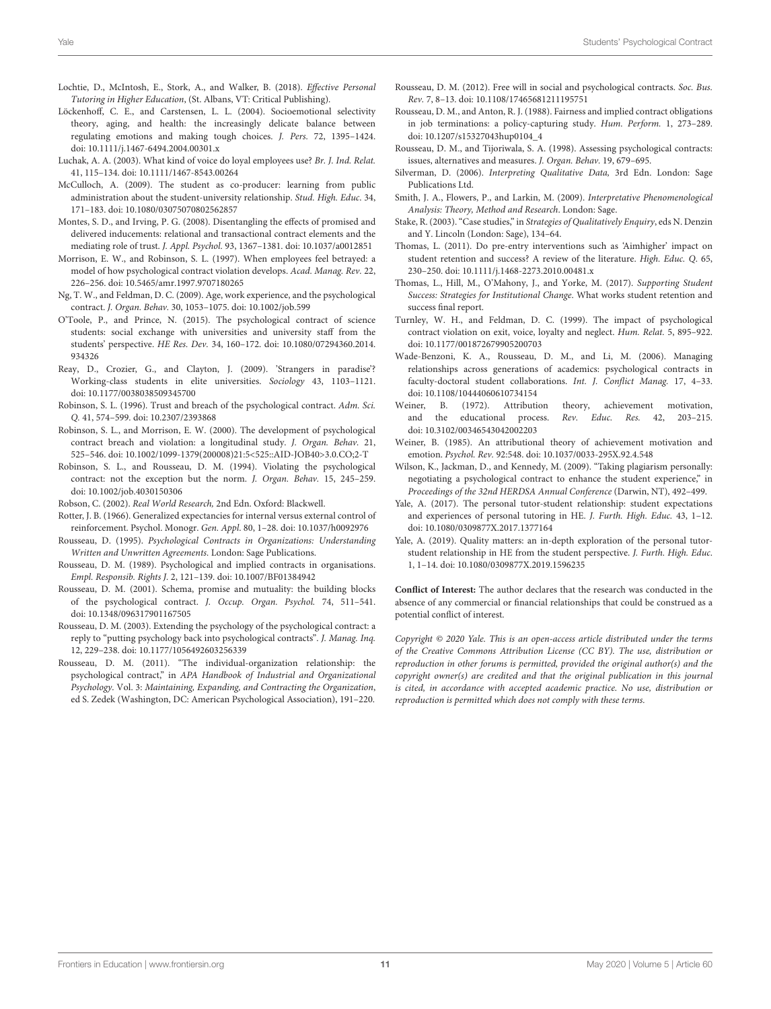- <span id="page-10-0"></span>Lochtie, D., McIntosh, E., Stork, A., and Walker, B. (2018). Effective Personal Tutoring in Higher Education, (St. Albans, VT: Critical Publishing).
- <span id="page-10-28"></span>Löckenhoff, C. E., and Carstensen, L. L. (2004). Socioemotional selectivity theory, aging, and health: the increasingly delicate balance between regulating emotions and making tough choices. J. Pers. 72, 1395–1424. doi: [10.1111/j.1467-6494.2004.00301.x](https://doi.org/10.1111/j.1467-6494.2004.00301.x)
- <span id="page-10-33"></span>Luchak, A. A. (2003). What kind of voice do loyal employees use? Br. J. Ind. Relat. 41, 115–134. doi: [10.1111/1467-8543.00264](https://doi.org/10.1111/1467-8543.00264)
- <span id="page-10-19"></span>McCulloch, A. (2009). The student as co-producer: learning from public administration about the student-university relationship. Stud. High. Educ. 34, 171–183. doi: [10.1080/03075070802562857](https://doi.org/10.1080/03075070802562857)
- <span id="page-10-31"></span>Montes, S. D., and Irving, P. G. (2008). Disentangling the effects of promised and delivered inducements: relational and transactional contract elements and the mediating role of trust. J. Appl. Psychol. 93, 1367–1381. doi: [10.1037/a0012851](https://doi.org/10.1037/a0012851)
- <span id="page-10-15"></span>Morrison, E. W., and Robinson, S. L. (1997). When employees feel betrayed: a model of how psychological contract violation develops. Acad. Manag. Rev. 22, 226–256. doi: [10.5465/amr.1997.9707180265](https://doi.org/10.5465/amr.1997.9707180265)
- <span id="page-10-27"></span>Ng, T. W., and Feldman, D. C. (2009). Age, work experience, and the psychological contract. J. Organ. Behav. 30, 1053–1075. doi: [10.1002/job.599](https://doi.org/10.1002/job.599)
- <span id="page-10-4"></span>O'Toole, P., and Prince, N. (2015). The psychological contract of science students: social exchange with universities and university staff from the students' perspective. HE Res. Dev. [34, 160–172. doi: 10.1080/07294360.2014.](https://doi.org/10.1080/07294360.2014.934326) 934326
- <span id="page-10-30"></span>Reay, D., Crozier, G., and Clayton, J. (2009). 'Strangers in paradise'? Working-class students in elite universities. Sociology 43, 1103–1121. doi: [10.1177/0038038509345700](https://doi.org/10.1177/0038038509345700)
- <span id="page-10-10"></span>Robinson, S. L. (1996). Trust and breach of the psychological contract. Adm. Sci. Q. 41, 574–599. doi: [10.2307/2393868](https://doi.org/10.2307/2393868)
- <span id="page-10-26"></span>Robinson, S. L., and Morrison, E. W. (2000). The development of psychological contract breach and violation: a longitudinal study. J. Organ. Behav. 21, 525–546. doi: [10.1002/1099-1379\(200008\)21:5<525::AID-JOB40>3.0.CO;2-T](https://doi.org/10.1002/1099-1379(200008)21:5<525::AID-JOB40>3.0.CO;2-T)
- <span id="page-10-11"></span>Robinson, S. L., and Rousseau, D. M. (1994). Violating the psychological contract: not the exception but the norm. J. Organ. Behav. 15, 245–259. doi: [10.1002/job.4030150306](https://doi.org/10.1002/job.4030150306)
- <span id="page-10-20"></span>Robson, C. (2002). Real World Research, 2nd Edn. Oxford: Blackwell.
- <span id="page-10-29"></span>Rotter, J. B. (1966). Generalized expectancies for internal versus external control of reinforcement. Psychol. Monogr. Gen. Appl. 80, 1–28. doi: [10.1037/h0092976](https://doi.org/10.1037/h0092976)
- <span id="page-10-7"></span>Rousseau, D. (1995). Psychological Contracts in Organizations: Understanding Written and Unwritten Agreements. London: Sage Publications.
- <span id="page-10-5"></span>Rousseau, D. M. (1989). Psychological and implied contracts in organisations. Empl. Responsib. Rights J. 2, 121–139. doi: [10.1007/BF01384942](https://doi.org/10.1007/BF01384942)
- <span id="page-10-6"></span>Rousseau, D. M. (2001). Schema, promise and mutuality: the building blocks of the psychological contract. J. Occup. Organ. Psychol. 74, 511–541. doi: [10.1348/096317901167505](https://doi.org/10.1348/096317901167505)
- <span id="page-10-25"></span>Rousseau, D. M. (2003). Extending the psychology of the psychological contract: a reply to "putting psychology back into psychological contracts". J. Manag. Inq. 12, 229–238. doi: [10.1177/1056492603256339](https://doi.org/10.1177/1056492603256339)
- <span id="page-10-8"></span>Rousseau, D. M. (2011). "The individual-organization relationship: the psychological contract," in APA Handbook of Industrial and Organizational Psychology. Vol. 3: Maintaining, Expanding, and Contracting the Organization, ed S. Zedek (Washington, DC: American Psychological Association), 191–220.
- <span id="page-10-9"></span>Rousseau, D. M. (2012). Free will in social and psychological contracts. Soc. Bus. Rev. 7, 8–13. doi: [10.1108/17465681211195751](https://doi.org/10.1108/17465681211195751)
- <span id="page-10-16"></span>Rousseau, D. M., and Anton, R. J. (1988). Fairness and implied contract obligations in job terminations: a policy-capturing study. Hum. Perform. 1, 273–289. doi: [10.1207/s15327043hup0104\\_4](https://doi.org/10.1207/s15327043hup0104_4)
- <span id="page-10-13"></span>Rousseau, D. M., and Tijoriwala, S. A. (1998). Assessing psychological contracts: issues, alternatives and measures. J. Organ. Behav. 19, 679–695.
- <span id="page-10-22"></span>Silverman, D. (2006). Interpreting Qualitative Data, 3rd Edn. London: Sage Publications Ltd.
- <span id="page-10-24"></span>Smith, J. A., Flowers, P., and Larkin, M. (2009). Interpretative Phenomenological Analysis: Theory, Method and Research. London: Sage.
- <span id="page-10-23"></span>Stake, R. (2003). "Case studies," in Strategies of Qualitatively Enquiry, eds N. Denzin and Y. Lincoln (London: Sage), 134–64.
- <span id="page-10-21"></span>Thomas, L. (2011). Do pre-entry interventions such as 'Aimhigher' impact on student retention and success? A review of the literature. High. Educ. Q. 65, 230–250. doi: [10.1111/j.1468-2273.2010.00481.x](https://doi.org/10.1111/j.1468-2273.2010.00481.x)
- <span id="page-10-1"></span>Thomas, L., Hill, M., O'Mahony, J., and Yorke, M. (2017). Supporting Student Success: Strategies for Institutional Change. What works student retention and success final report.
- <span id="page-10-17"></span>Turnley, W. H., and Feldman, D. C. (1999). The impact of psychological contract violation on exit, voice, loyalty and neglect. Hum. Relat. 5, 895–922. doi: [10.1177/001872679905200703](https://doi.org/10.1177/001872679905200703)
- <span id="page-10-32"></span>Wade-Benzoni, K. A., Rousseau, D. M., and Li, M. (2006). Managing relationships across generations of academics: psychological contracts in faculty-doctoral student collaborations. Int. J. Conflict Manag. 17, 4–33. doi: [10.1108/10444060610734154](https://doi.org/10.1108/10444060610734154)
- <span id="page-10-14"></span>Weiner, B. (1972). Attribution theory, achievement motivation, and the educational process. Rev. Educ. Res. 42, 203–215. doi: [10.3102/00346543042002203](https://doi.org/10.3102/00346543042002203)
- <span id="page-10-12"></span>Weiner, B. (1985). An attributional theory of achievement motivation and emotion. Psychol. Rev. 92:548. doi: [10.1037/0033-295X.92.4.548](https://doi.org/10.1037/0033-295X.92.4.548)
- <span id="page-10-18"></span>Wilson, K., Jackman, D., and Kennedy, M. (2009). "Taking plagiarism personally: negotiating a psychological contract to enhance the student experience," in Proceedings of the 32nd HERDSA Annual Conference (Darwin, NT), 492–499.
- <span id="page-10-2"></span>Yale, A. (2017). The personal tutor-student relationship: student expectations and experiences of personal tutoring in HE. J. Furth. High. Educ. 43, 1–12. doi: [10.1080/0309877X.2017.1377164](https://doi.org/10.1080/0309877X.2017.1377164)
- <span id="page-10-3"></span>Yale, A. (2019). Quality matters: an in-depth exploration of the personal tutorstudent relationship in HE from the student perspective. J. Furth. High. Educ. 1, 1–14. doi: [10.1080/0309877X.2019.1596235](https://doi.org/10.1080/0309877X.2019.1596235)

**Conflict of Interest:** The author declares that the research was conducted in the absence of any commercial or financial relationships that could be construed as a potential conflict of interest.

Copyright © 2020 Yale. This is an open-access article distributed under the terms of the [Creative Commons Attribution License \(CC BY\).](http://creativecommons.org/licenses/by/4.0/) The use, distribution or reproduction in other forums is permitted, provided the original author(s) and the copyright owner(s) are credited and that the original publication in this journal is cited, in accordance with accepted academic practice. No use, distribution or reproduction is permitted which does not comply with these terms.